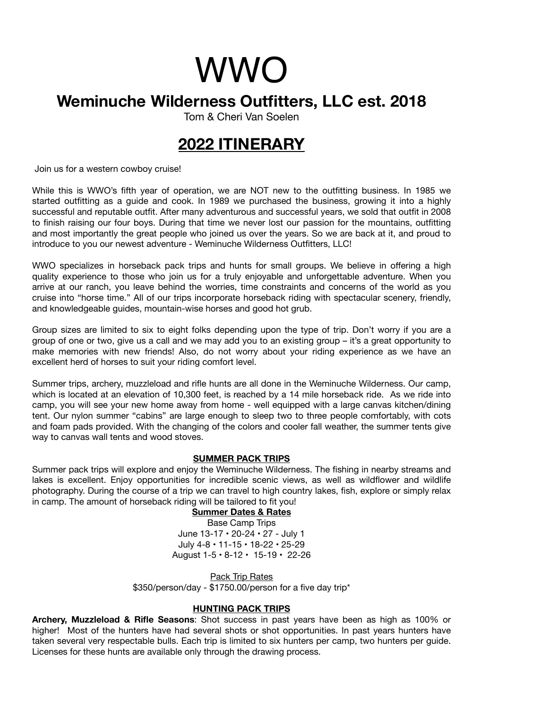# WWO

## **Weminuche Wilderness Outfitters, LLC est. 2018**

Tom & Cheri Van Soelen

# **2022 ITINERARY**

Join us for a western cowboy cruise!

While this is WWO's fifth year of operation, we are NOT new to the outfitting business. In 1985 we started outfitting as a guide and cook. In 1989 we purchased the business, growing it into a highly successful and reputable outfit. After many adventurous and successful years, we sold that outfit in 2008 to finish raising our four boys. During that time we never lost our passion for the mountains, outfitting and most importantly the great people who joined us over the years. So we are back at it, and proud to introduce to you our newest adventure - Weminuche Wilderness Outfitters, LLC!

WWO specializes in horseback pack trips and hunts for small groups. We believe in offering a high quality experience to those who join us for a truly enjoyable and unforgettable adventure. When you arrive at our ranch, you leave behind the worries, time constraints and concerns of the world as you cruise into "horse time." All of our trips incorporate horseback riding with spectacular scenery, friendly, and knowledgeable guides, mountain-wise horses and good hot grub.

Group sizes are limited to six to eight folks depending upon the type of trip. Don't worry if you are a group of one or two, give us a call and we may add you to an existing group – it's a great opportunity to make memories with new friends! Also, do not worry about your riding experience as we have an excellent herd of horses to suit your riding comfort level.

Summer trips, archery, muzzleload and rifle hunts are all done in the Weminuche Wilderness. Our camp, which is located at an elevation of 10,300 feet, is reached by a 14 mile horseback ride. As we ride into camp, you will see your new home away from home - well equipped with a large canvas kitchen/dining tent. Our nylon summer "cabins" are large enough to sleep two to three people comfortably, with cots and foam pads provided. With the changing of the colors and cooler fall weather, the summer tents give way to canvas wall tents and wood stoves.

## **SUMMER PACK TRIPS**

Summer pack trips will explore and enjoy the Weminuche Wilderness. The fishing in nearby streams and lakes is excellent. Enjoy opportunities for incredible scenic views, as well as wildflower and wildlife photography. During the course of a trip we can travel to high country lakes, fish, explore or simply relax in camp. The amount of horseback riding will be tailored to fit you!

#### **Summer Dates & Rates**

Base Camp Trips June 13-17 • 20-24 • 27 - July 1 July 4-8 • 11-15 • 18-22 • 25-29 August 1-5 • 8-12 • 15-19 • 22-26

Pack Trip Rates \$350/person/day - \$1750.00/person for a five day trip\*

## **HUNTING PACK TRIPS**

**Archery, Muzzleload & Rifle Seasons**: Shot success in past years have been as high as 100% or higher! Most of the hunters have had several shots or shot opportunities. In past years hunters have taken several very respectable bulls. Each trip is limited to six hunters per camp, two hunters per guide. Licenses for these hunts are available only through the drawing process.